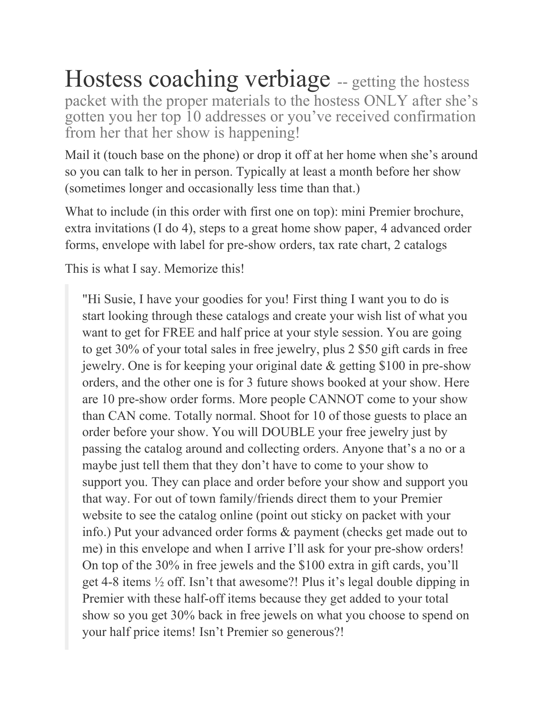## Hostess coaching verbiage -- getting the hostess packet with the proper materials to the hostess ONLY after she's gotten you her top 10 addresses or you've received confirmation from her that her show is happening!

Mail it (touch base on the phone) or drop it off at her home when she's around so you can talk to her in person. Typically at least a month before her show (sometimes longer and occasionally less time than that.)

What to include (in this order with first one on top): mini Premier brochure, extra invitations (I do 4), steps to a great home show paper, 4 advanced order forms, envelope with label for pre-show orders, tax rate chart, 2 catalogs

This is what I say. Memorize this!

"Hi Susie, I have your goodies for you! First thing I want you to do is start looking through these catalogs and create your wish list of what you want to get for FREE and half price at your style session. You are going to get 30% of your total sales in free jewelry, plus 2 \$50 gift cards in free jewelry. One is for keeping your original date & getting \$100 in pre-show orders, and the other one is for 3 future shows booked at your show. Here are 10 pre-show order forms. More people CANNOT come to your show than CAN come. Totally normal. Shoot for 10 of those guests to place an order before your show. You will DOUBLE your free jewelry just by passing the catalog around and collecting orders. Anyone that's a no or a maybe just tell them that they don't have to come to your show to support you. They can place and order before your show and support you that way. For out of town family/friends direct them to your Premier website to see the catalog online (point out sticky on packet with your info.) Put your advanced order forms & payment (checks get made out to me) in this envelope and when I arrive I'll ask for your pre-show orders! On top of the 30% in free jewels and the \$100 extra in gift cards, you'll get 4-8 items ½ off. Isn't that awesome?! Plus it's legal double dipping in Premier with these half-off items because they get added to your total show so you get 30% back in free jewels on what you choose to spend on your half price items! Isn't Premier so generous?!